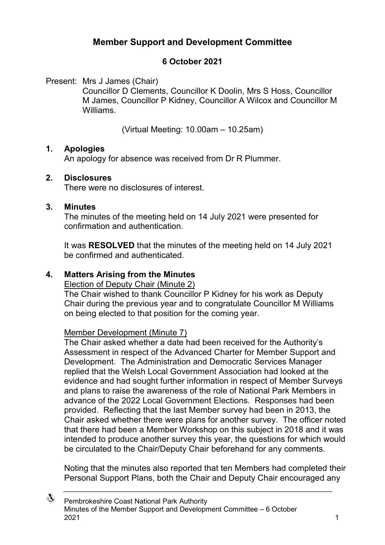# **Member Support and Development Committee**

## **6 October 2021**

Present: Mrs J James (Chair)

Councillor D Clements, Councillor K Doolin, Mrs S Hoss, Councillor M James, Councillor P Kidney, Councillor A Wilcox and Councillor M Williams.

(Virtual Meeting: 10.00am – 10.25am)

## **1. Apologies**

An apology for absence was received from Dr R Plummer.

## **2. Disclosures**

There were no disclosures of interest.

#### **3. Minutes**

The minutes of the meeting held on 14 July 2021 were presented for confirmation and authentication.

It was **RESOLVED** that the minutes of the meeting held on 14 July 2021 be confirmed and authenticated.

## **4. Matters Arising from the Minutes**

Election of Deputy Chair (Minute 2)

The Chair wished to thank Councillor P Kidney for his work as Deputy Chair during the previous year and to congratulate Councillor M Williams on being elected to that position for the coming year.

## Member Development (Minute 7)

The Chair asked whether a date had been received for the Authority's Assessment in respect of the Advanced Charter for Member Support and Development. The Administration and Democratic Services Manager replied that the Welsh Local Government Association had looked at the evidence and had sought further information in respect of Member Surveys and plans to raise the awareness of the role of National Park Members in advance of the 2022 Local Government Elections. Responses had been provided. Reflecting that the last Member survey had been in 2013, the Chair asked whether there were plans for another survey. The officer noted that there had been a Member Workshop on this subject in 2018 and it was intended to produce another survey this year, the questions for which would be circulated to the Chair/Deputy Chair beforehand for any comments.

Noting that the minutes also reported that ten Members had completed their Personal Support Plans, both the Chair and Deputy Chair encouraged any

 $\_$  , and the set of the set of the set of the set of the set of the set of the set of the set of the set of the set of the set of the set of the set of the set of the set of the set of the set of the set of the set of th